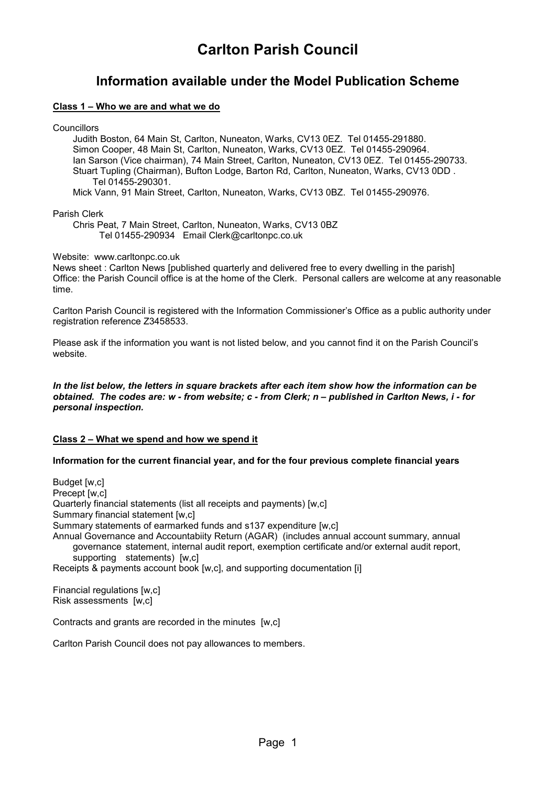# **Carlton Parish Council**

# **Information available under the Model Publication Scheme**

## **Class 1 – Who we are and what we do**

**Councillors** 

Judith Boston, 64 Main St, Carlton, Nuneaton, Warks, CV13 0EZ. Tel 01455-291880. Simon Cooper, 48 Main St, Carlton, Nuneaton, Warks, CV13 0EZ. Tel 01455-290964. Ian Sarson (Vice chairman), 74 Main Street, Carlton, Nuneaton, CV13 0EZ. Tel 01455-290733. Stuart Tupling (Chairman), Bufton Lodge, Barton Rd, Carlton, Nuneaton, Warks, CV13 0DD . Tel 01455-290301.

Mick Vann, 91 Main Street, Carlton, Nuneaton, Warks, CV13 0BZ. Tel 01455-290976.

#### Parish Clerk

Chris Peat, 7 Main Street, Carlton, Nuneaton, Warks, CV13 0BZ Tel 01455-290934 Email Clerk@carltonpc.co.uk

Website: www.carltonpc.co.uk

News sheet : Carlton News [published quarterly and delivered free to every dwelling in the parish] Office: the Parish Council office is at the home of the Clerk. Personal callers are welcome at any reasonable time.

Carlton Parish Council is registered with the Information Commissioner's Office as a public authority under registration reference Z3458533.

Please ask if the information you want is not listed below, and you cannot find it on the Parish Council's website.

#### *In the list below, the letters in square brackets after each item show how the information can be obtained. The codes are: w - from website; c - from Clerk; n – published in Carlton News, i - for personal inspection.*

# **Class 2 – What we spend and how we spend it**

# **Information for the current financial year, and for the four previous complete financial years**

Budget [w,c] Precept [w,c] Quarterly financial statements (list all receipts and payments) [w,c] Summary financial statement [w,c] Summary statements of earmarked funds and s137 expenditure [w,c] Annual Governance and Accountabiity Return (AGAR) (includes annual account summary, annual governance statement, internal audit report, exemption certificate and/or external audit report, supporting statements) [w,c] Receipts & payments account book [w,c], and supporting documentation [i]

Financial regulations [w,c] Risk assessments [w,c]

Contracts and grants are recorded in the minutes [w,c]

Carlton Parish Council does not pay allowances to members.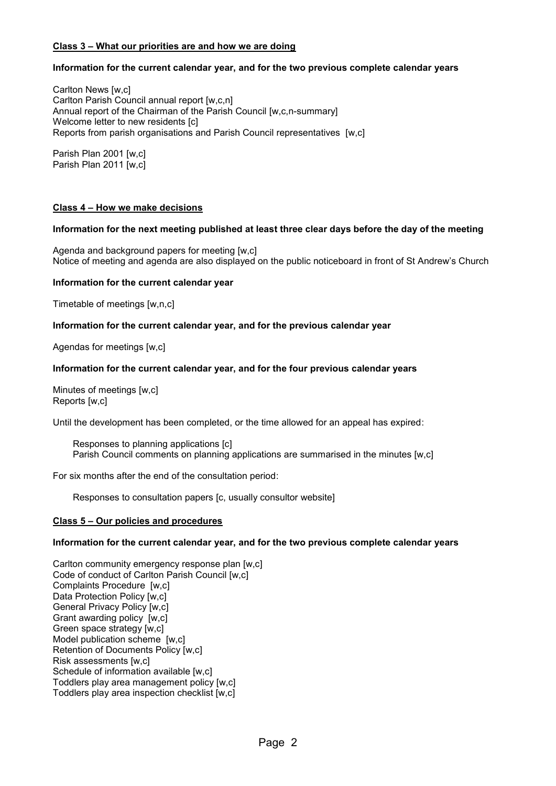# **Class 3 – What our priorities are and how we are doing**

# **Information for the current calendar year, and for the two previous complete calendar years**

Carlton News [w,c] Carlton Parish Council annual report [w,c,n] Annual report of the Chairman of the Parish Council [w.c.n-summary] Welcome letter to new residents [c] Reports from parish organisations and Parish Council representatives [w,c]

Parish Plan 2001 [w,c] Parish Plan 2011 [w,c]

#### **Class 4 – How we make decisions**

#### **Information for the next meeting published at least three clear days before the day of the meeting**

Agenda and background papers for meeting [w,c] Notice of meeting and agenda are also displayed on the public noticeboard in front of St Andrew's Church

#### **Information for the current calendar year**

Timetable of meetings [w,n,c]

#### **Information for the current calendar year, and for the previous calendar year**

Agendas for meetings [w,c]

#### **Information for the current calendar year, and for the four previous calendar years**

Minutes of meetings [w,c] Reports [w,c]

Until the development has been completed, or the time allowed for an appeal has expired:

Responses to planning applications [c] Parish Council comments on planning applications are summarised in the minutes [w,c]

For six months after the end of the consultation period:

Responses to consultation papers [c, usually consultor website]

#### **Class 5 – Our policies and procedures**

#### **Information for the current calendar year, and for the two previous complete calendar years**

Carlton community emergency response plan [w,c] Code of conduct of Carlton Parish Council [w,c] Complaints Procedure [w,c] Data Protection Policy [w,c] General Privacy Policy [w,c] Grant awarding policy [w,c] Green space strategy [w,c] Model publication scheme [w,c] Retention of Documents Policy [w,c] Risk assessments [w,c] Schedule of information available [w,c] Toddlers play area management policy [w,c] Toddlers play area inspection checklist [w,c]